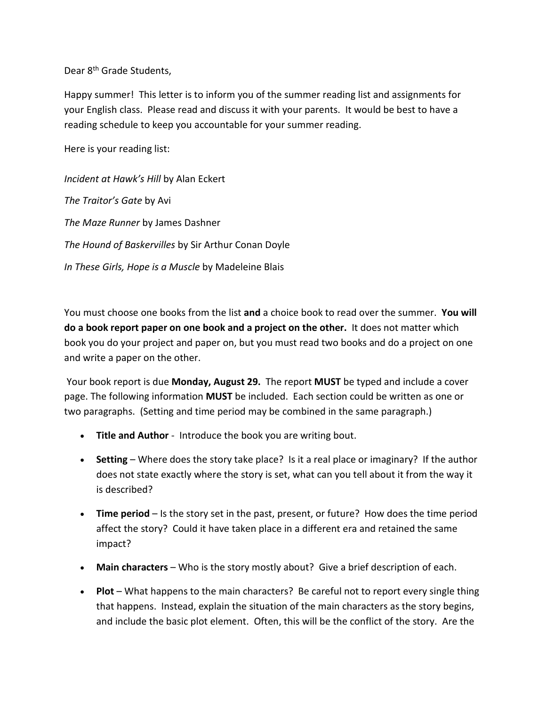Dear 8<sup>th</sup> Grade Students.

Happy summer! This letter is to inform you of the summer reading list and assignments for your English class. Please read and discuss it with your parents. It would be best to have a reading schedule to keep you accountable for your summer reading.

Here is your reading list:

*Incident at Hawk's Hill* by Alan Eckert *The Traitor's Gate* by Avi *The Maze Runner* by James Dashner *The Hound of Baskervilles* by Sir Arthur Conan Doyle *In These Girls, Hope is a Muscle* by Madeleine Blais

You must choose one books from the list **and** a choice book to read over the summer. **You will do a book report paper on one book and a project on the other.** It does not matter which book you do your project and paper on, but you must read two books and do a project on one and write a paper on the other.

Your book report is due **Monday, August 29.** The report **MUST** be typed and include a cover page. The following information **MUST** be included. Each section could be written as one or two paragraphs. (Setting and time period may be combined in the same paragraph.)

- **Title and Author** Introduce the book you are writing bout.
- **Setting** Where does the story take place? Is it a real place or imaginary? If the author does not state exactly where the story is set, what can you tell about it from the way it is described?
- **Time period** Is the story set in the past, present, or future? How does the time period affect the story? Could it have taken place in a different era and retained the same impact?
- **Main characters** Who is the story mostly about? Give a brief description of each.
- **Plot** What happens to the main characters? Be careful not to report every single thing that happens. Instead, explain the situation of the main characters as the story begins, and include the basic plot element. Often, this will be the conflict of the story. Are the